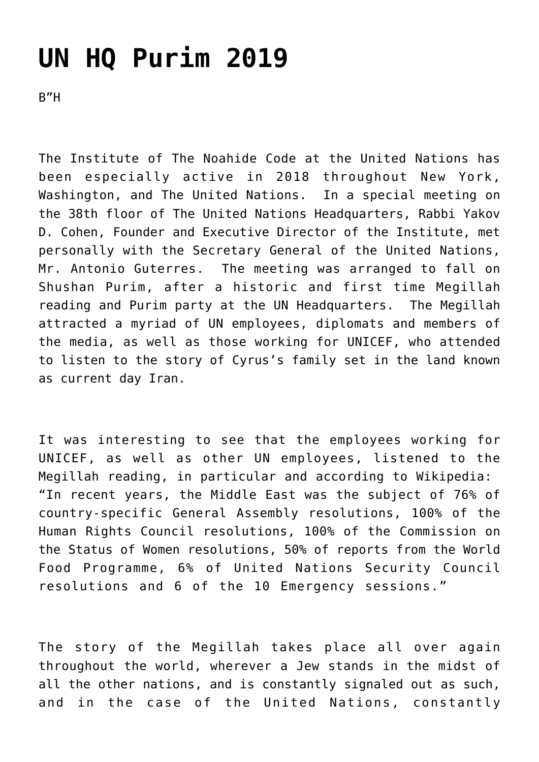## **[UN HQ Purim 2019](http://noahide.org/un-hq-purim-2019/)**

B"H

The Institute of The Noahide Code at the United Nations has been especially active in 2018 throughout New York, Washington, and The United Nations. In a special meeting on the 38th floor of The United Nations Headquarters, Rabbi Yakov D. Cohen, Founder and Executive Director of the Institute, met personally with the Secretary General of the United Nations, Mr. Antonio Guterres. The meeting was arranged to fall on Shushan Purim, after a historic and first time Megillah reading and Purim party at the UN Headquarters. The Megillah attracted a myriad of UN employees, diplomats and members of the media, as well as those working for UNICEF, who attended to listen to the story of Cyrus's family set in the land known as current day Iran.

It was interesting to see that the employees working for UNICEF, as well as other UN employees, listened to the Megillah reading, in particular and according to Wikipedia: "In recent years, the Middle East was the subject of 76% of country-specific General Assembly resolutions, 100% of the Human Rights Council resolutions, 100% of the Commission on the Status of Women resolutions, 50% of reports from the World Food Programme, 6% of United Nations Security Council resolutions and 6 of the 10 Emergency sessions."

The story of the Megillah takes place all over again throughout the world, wherever a Jew stands in the midst of all the other nations, and is constantly signaled out as such, and in the case of the United Nations, constantly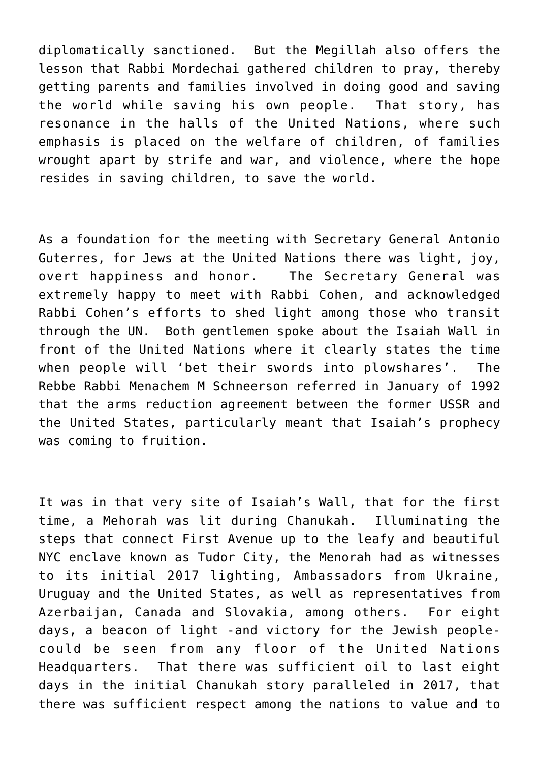diplomatically sanctioned. But the Megillah also offers the lesson that Rabbi Mordechai gathered children to pray, thereby getting parents and families involved in doing good and saving the world while saving his own people. That story, has resonance in the halls of the United Nations, where such emphasis is placed on the welfare of children, of families wrought apart by strife and war, and violence, where the hope resides in saving children, to save the world.

As a foundation for the meeting with Secretary General Antonio Guterres, for Jews at the United Nations there was light, joy, overt happiness and honor. The Secretary General was extremely happy to meet with Rabbi Cohen, and acknowledged Rabbi Cohen's efforts to shed light among those who transit through the UN. Both gentlemen spoke about the Isaiah Wall in front of the United Nations where it clearly states the time when people will 'bet their swords into plowshares'. The Rebbe Rabbi Menachem M Schneerson referred in January of 1992 that the arms reduction agreement between the former USSR and the United States, particularly meant that Isaiah's prophecy was coming to fruition.

It was in that very site of Isaiah's Wall, that for the first time, a Mehorah was lit during Chanukah. Illuminating the steps that connect First Avenue up to the leafy and beautiful NYC enclave known as Tudor City, the Menorah had as witnesses to its initial 2017 lighting, Ambassadors from Ukraine, Uruguay and the United States, as well as representatives from Azerbaijan, Canada and Slovakia, among others. For eight days, a beacon of light -and victory for the Jewish peoplecould be seen from any floor of the United Nations Headquarters. That there was sufficient oil to last eight days in the initial Chanukah story paralleled in 2017, that there was sufficient respect among the nations to value and to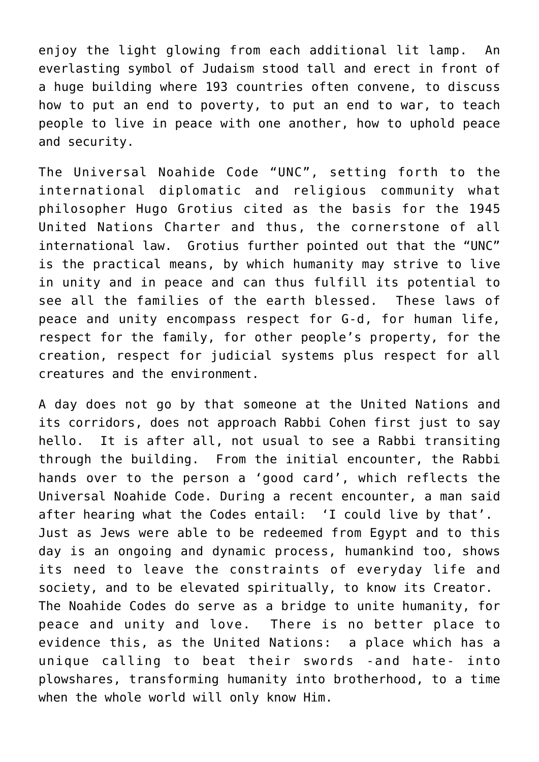enjoy the light glowing from each additional lit lamp. An everlasting symbol of Judaism stood tall and erect in front of a huge building where 193 countries often convene, to discuss how to put an end to poverty, to put an end to war, to teach people to live in peace with one another, how to uphold peace and security.

The Universal Noahide Code "UNC", setting forth to the international diplomatic and religious community what philosopher Hugo Grotius cited as the basis for the 1945 United Nations Charter and thus, the cornerstone of all international law. Grotius further pointed out that the "UNC" is the practical means, by which humanity may strive to live in unity and in peace and can thus fulfill its potential to see all the families of the earth blessed. These laws of peace and unity encompass respect for G-d, for human life, respect for the family, for other people's property, for the creation, respect for judicial systems plus respect for all creatures and the environment.

A day does not go by that someone at the United Nations and its corridors, does not approach Rabbi Cohen first just to say hello. It is after all, not usual to see a Rabbi transiting through the building. From the initial encounter, the Rabbi hands over to the person a 'good card', which reflects the Universal Noahide Code. During a recent encounter, a man said after hearing what the Codes entail: 'I could live by that'. Just as Jews were able to be redeemed from Egypt and to this day is an ongoing and dynamic process, humankind too, shows its need to leave the constraints of everyday life and society, and to be elevated spiritually, to know its Creator. The Noahide Codes do serve as a bridge to unite humanity, for peace and unity and love. There is no better place to evidence this, as the United Nations: a place which has a unique calling to beat their swords -and hate- into plowshares, transforming humanity into brotherhood, to a time when the whole world will only know Him.